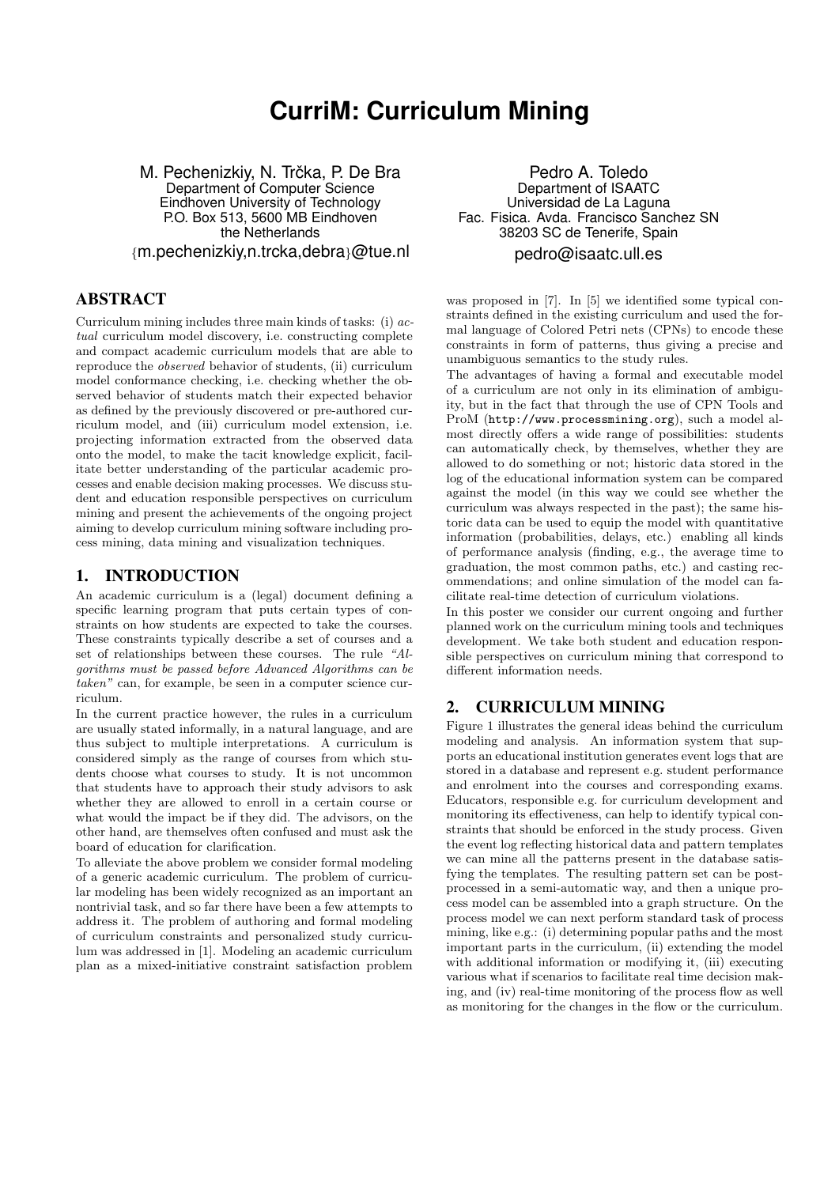# **CurriM: Curriculum Mining**

M. Pechenizkiy, N. Trčka, P. De Bra Department of Computer Science Eindhoven University of Technology P.O. Box 513, 5600 MB Eindhoven the Netherlands {m.pechenizkiy,n.trcka,debra}@tue.nl

## ABSTRACT

Curriculum mining includes three main kinds of tasks: (i) actual curriculum model discovery, i.e. constructing complete and compact academic curriculum models that are able to reproduce the observed behavior of students, (ii) curriculum model conformance checking, i.e. checking whether the observed behavior of students match their expected behavior as defined by the previously discovered or pre-authored curriculum model, and (iii) curriculum model extension, i.e. projecting information extracted from the observed data onto the model, to make the tacit knowledge explicit, facilitate better understanding of the particular academic processes and enable decision making processes. We discuss student and education responsible perspectives on curriculum mining and present the achievements of the ongoing project aiming to develop curriculum mining software including process mining, data mining and visualization techniques.

### 1. INTRODUCTION

An academic curriculum is a (legal) document defining a specific learning program that puts certain types of constraints on how students are expected to take the courses. These constraints typically describe a set of courses and a set of relationships between these courses. The rule "Algorithms must be passed before Advanced Algorithms can be taken" can, for example, be seen in a computer science curriculum.

In the current practice however, the rules in a curriculum are usually stated informally, in a natural language, and are thus subject to multiple interpretations. A curriculum is considered simply as the range of courses from which students choose what courses to study. It is not uncommon that students have to approach their study advisors to ask whether they are allowed to enroll in a certain course or what would the impact be if they did. The advisors, on the other hand, are themselves often confused and must ask the board of education for clarification.

To alleviate the above problem we consider formal modeling of a generic academic curriculum. The problem of curricular modeling has been widely recognized as an important an nontrivial task, and so far there have been a few attempts to address it. The problem of authoring and formal modeling of curriculum constraints and personalized study curriculum was addressed in [1]. Modeling an academic curriculum plan as a mixed-initiative constraint satisfaction problem

Pedro A. Toledo Department of ISAATC Universidad de La Laguna Fac. Fisica. Avda. Francisco Sanchez SN 38203 SC de Tenerife, Spain pedro@isaatc.ull.es

was proposed in [7]. In [5] we identified some typical constraints defined in the existing curriculum and used the formal language of Colored Petri nets (CPNs) to encode these constraints in form of patterns, thus giving a precise and unambiguous semantics to the study rules.

The advantages of having a formal and executable model of a curriculum are not only in its elimination of ambiguity, but in the fact that through the use of CPN Tools and ProM (http://www.processmining.org), such a model almost directly offers a wide range of possibilities: students can automatically check, by themselves, whether they are allowed to do something or not; historic data stored in the log of the educational information system can be compared against the model (in this way we could see whether the curriculum was always respected in the past); the same historic data can be used to equip the model with quantitative information (probabilities, delays, etc.) enabling all kinds of performance analysis (finding, e.g., the average time to graduation, the most common paths, etc.) and casting recommendations; and online simulation of the model can facilitate real-time detection of curriculum violations.

In this poster we consider our current ongoing and further planned work on the curriculum mining tools and techniques development. We take both student and education responsible perspectives on curriculum mining that correspond to different information needs.

#### 2. CURRICULUM MINING

Figure 1 illustrates the general ideas behind the curriculum modeling and analysis. An information system that supports an educational institution generates event logs that are stored in a database and represent e.g. student performance and enrolment into the courses and corresponding exams. Educators, responsible e.g. for curriculum development and monitoring its effectiveness, can help to identify typical constraints that should be enforced in the study process. Given the event log reflecting historical data and pattern templates we can mine all the patterns present in the database satisfying the templates. The resulting pattern set can be postprocessed in a semi-automatic way, and then a unique process model can be assembled into a graph structure. On the process model we can next perform standard task of process mining, like e.g.: (i) determining popular paths and the most important parts in the curriculum, (ii) extending the model with additional information or modifying it, (iii) executing various what if scenarios to facilitate real time decision making, and (iv) real-time monitoring of the process flow as well as monitoring for the changes in the flow or the curriculum.